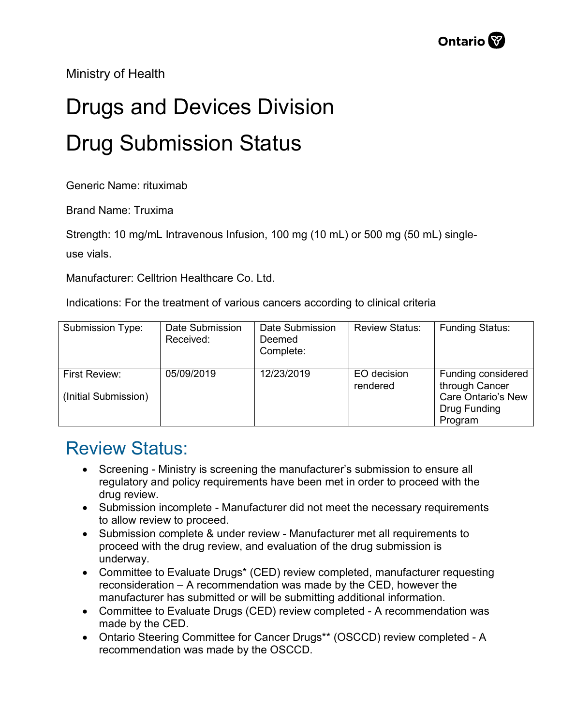Ministry of Health

## Drugs and Devices Division Drug Submission Status

Generic Name: rituximab

Brand Name: Truxima

Strength: 10 mg/mL Intravenous Infusion, 100 mg (10 mL) or 500 mg (50 mL) single-

use vials.

Manufacturer: Celltrion Healthcare Co. Ltd.

Indications: For the treatment of various cancers according to clinical criteria

| Submission Type:                      | Date Submission<br>Received: | Date Submission<br>Deemed<br>Complete: | <b>Review Status:</b>   | <b>Funding Status:</b>                                            |
|---------------------------------------|------------------------------|----------------------------------------|-------------------------|-------------------------------------------------------------------|
| First Review:<br>(Initial Submission) | 05/09/2019                   | 12/23/2019                             | EO decision<br>rendered | Funding considered<br>through Cancer<br><b>Care Ontario's New</b> |
|                                       |                              |                                        |                         | Drug Funding<br>Program                                           |

## Review Status:

- Screening Ministry is screening the manufacturer's submission to ensure all regulatory and policy requirements have been met in order to proceed with the drug review.
- Submission incomplete Manufacturer did not meet the necessary requirements to allow review to proceed.
- Submission complete & under review Manufacturer met all requirements to proceed with the drug review, and evaluation of the drug submission is underway.
- Committee to Evaluate Drugs\* (CED) review completed, manufacturer requesting reconsideration – A recommendation was made by the CED, however the manufacturer has submitted or will be submitting additional information.
- Committee to Evaluate Drugs (CED) review completed A recommendation was made by the CED.
- Ontario Steering Committee for Cancer Drugs\*\* (OSCCD) review completed A recommendation was made by the OSCCD.